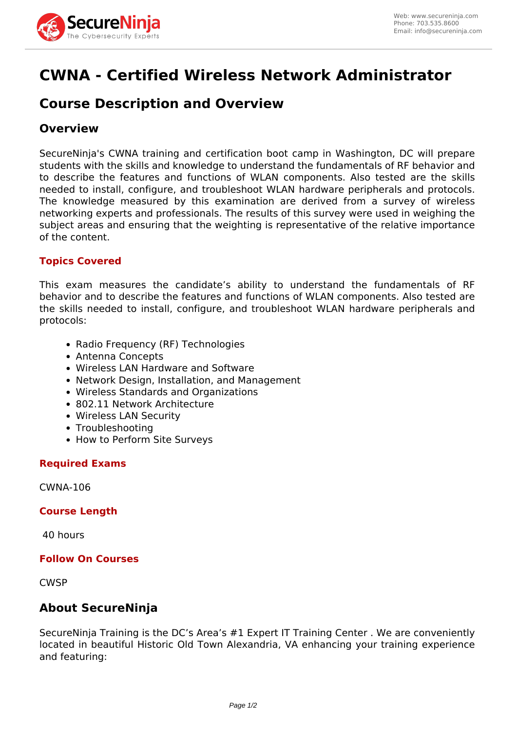

# **CWNA - Certified Wireless Network Administrator**

# **Course Description and Overview**

# **Overview**

SecureNinja's CWNA training and certification boot camp in Washington, DC will prepare students with the skills and knowledge to understand the fundamentals of RF behavior and to describe the features and functions of WLAN components. Also tested are the skills needed to install, configure, and troubleshoot WLAN hardware peripherals and protocols. The knowledge measured by this examination are derived from a survey of wireless networking experts and professionals. The results of this survey were used in weighing the subject areas and ensuring that the weighting is representative of the relative importance of the content.

### **Topics Covered**

This exam measures the candidate's ability to understand the fundamentals of RF behavior and to describe the features and functions of WLAN components. Also tested are the skills needed to install, configure, and troubleshoot WLAN hardware peripherals and protocols:

- Radio Frequency (RF) Technologies
- Antenna Concepts
- Wireless LAN Hardware and Software
- Network Design, Installation, and Management
- Wireless Standards and Organizations
- 802.11 Network Architecture
- Wireless LAN Security
- Troubleshooting
- How to Perform Site Surveys

#### **Required Exams**

CWNA-106

#### **Course Length**

40 hours

#### **Follow On Courses**

**CWSP** 

# **About SecureNinja**

SecureNinja Training is the DC's Area's #1 Expert IT Training Center . We are conveniently located in beautiful Historic Old Town Alexandria, VA enhancing your training experience and featuring: